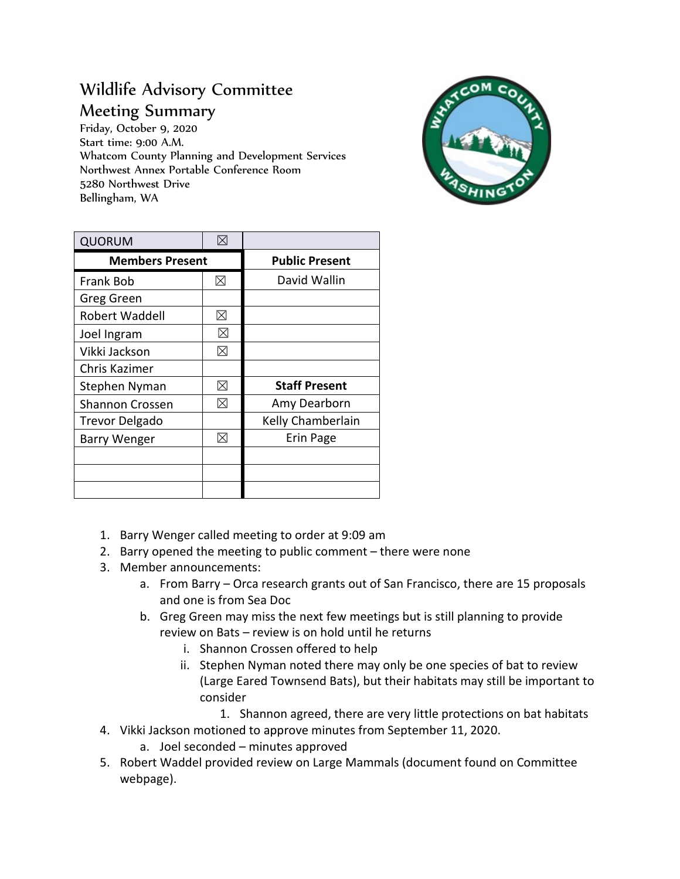## Wildlife Advisory Committee Meeting Summary

Friday, October 9, 2020 Start time: 9:00 A.M. Whatcom County Planning and Development Services Northwest Annex Portable Conference Room 5280 Northwest Drive Bellingham, WA



| <b>QUORUM</b>          | $\boxtimes$ |                       |
|------------------------|-------------|-----------------------|
| <b>Members Present</b> |             | <b>Public Present</b> |
| Frank Bob              | ⊠           | David Wallin          |
| Greg Green             |             |                       |
| Robert Waddell         | $\boxtimes$ |                       |
| Joel Ingram            | ⊠           |                       |
| Vikki Jackson          | ⊠           |                       |
| Chris Kazimer          |             |                       |
| Stephen Nyman          | ⊠           | <b>Staff Present</b>  |
| <b>Shannon Crossen</b> | ⊠           | Amy Dearborn          |
| <b>Trevor Delgado</b>  |             | Kelly Chamberlain     |
| <b>Barry Wenger</b>    | ⊠           | Erin Page             |
|                        |             |                       |
|                        |             |                       |
|                        |             |                       |

- 1. Barry Wenger called meeting to order at 9:09 am
- 2. Barry opened the meeting to public comment there were none
- 3. Member announcements:
	- a. From Barry Orca research grants out of San Francisco, there are 15 proposals and one is from Sea Doc
	- b. Greg Green may miss the next few meetings but is still planning to provide review on Bats – review is on hold until he returns
		- i. Shannon Crossen offered to help
		- ii. Stephen Nyman noted there may only be one species of bat to review (Large Eared Townsend Bats), but their habitats may still be important to consider
			- 1. Shannon agreed, there are very little protections on bat habitats
- 4. Vikki Jackson motioned to approve minutes from September 11, 2020.
	- a. Joel seconded minutes approved
- 5. Robert Waddel provided review on Large Mammals (document found on Committee webpage).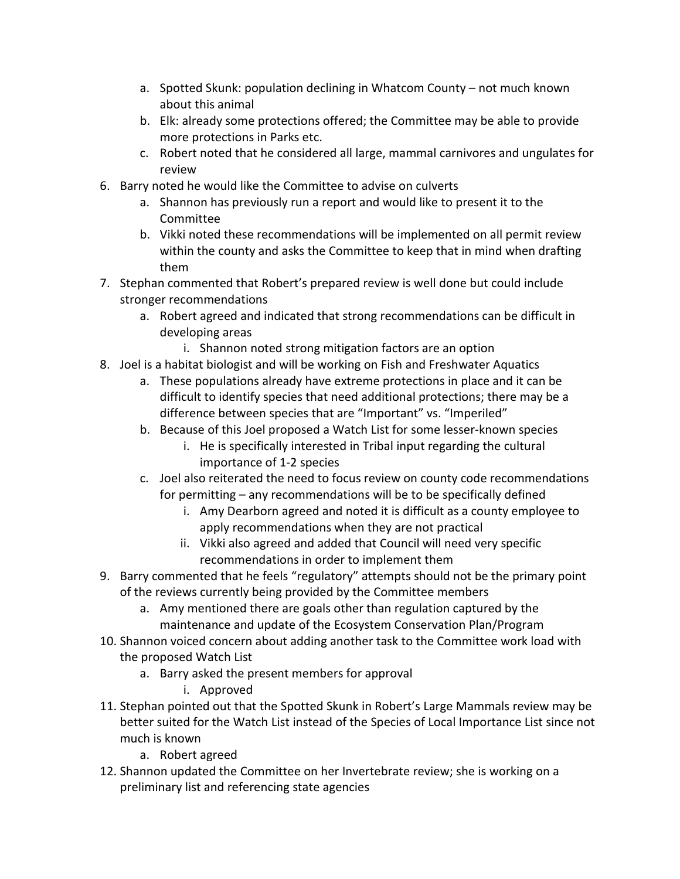- a. Spotted Skunk: population declining in Whatcom County not much known about this animal
- b. Elk: already some protections offered; the Committee may be able to provide more protections in Parks etc.
- c. Robert noted that he considered all large, mammal carnivores and ungulates for review
- 6. Barry noted he would like the Committee to advise on culverts
	- a. Shannon has previously run a report and would like to present it to the Committee
	- b. Vikki noted these recommendations will be implemented on all permit review within the county and asks the Committee to keep that in mind when drafting them
- 7. Stephan commented that Robert's prepared review is well done but could include stronger recommendations
	- a. Robert agreed and indicated that strong recommendations can be difficult in developing areas
		- i. Shannon noted strong mitigation factors are an option
- 8. Joel is a habitat biologist and will be working on Fish and Freshwater Aquatics
	- a. These populations already have extreme protections in place and it can be difficult to identify species that need additional protections; there may be a difference between species that are "Important" vs. "Imperiled"
	- b. Because of this Joel proposed a Watch List for some lesser-known species
		- i. He is specifically interested in Tribal input regarding the cultural importance of 1-2 species
	- c. Joel also reiterated the need to focus review on county code recommendations for permitting – any recommendations will be to be specifically defined
		- i. Amy Dearborn agreed and noted it is difficult as a county employee to apply recommendations when they are not practical
		- ii. Vikki also agreed and added that Council will need very specific recommendations in order to implement them
- 9. Barry commented that he feels "regulatory" attempts should not be the primary point of the reviews currently being provided by the Committee members
	- a. Amy mentioned there are goals other than regulation captured by the maintenance and update of the Ecosystem Conservation Plan/Program
- 10. Shannon voiced concern about adding another task to the Committee work load with the proposed Watch List
	- a. Barry asked the present members for approval
		- i. Approved
- 11. Stephan pointed out that the Spotted Skunk in Robert's Large Mammals review may be better suited for the Watch List instead of the Species of Local Importance List since not much is known
	- a. Robert agreed
- 12. Shannon updated the Committee on her Invertebrate review; she is working on a preliminary list and referencing state agencies